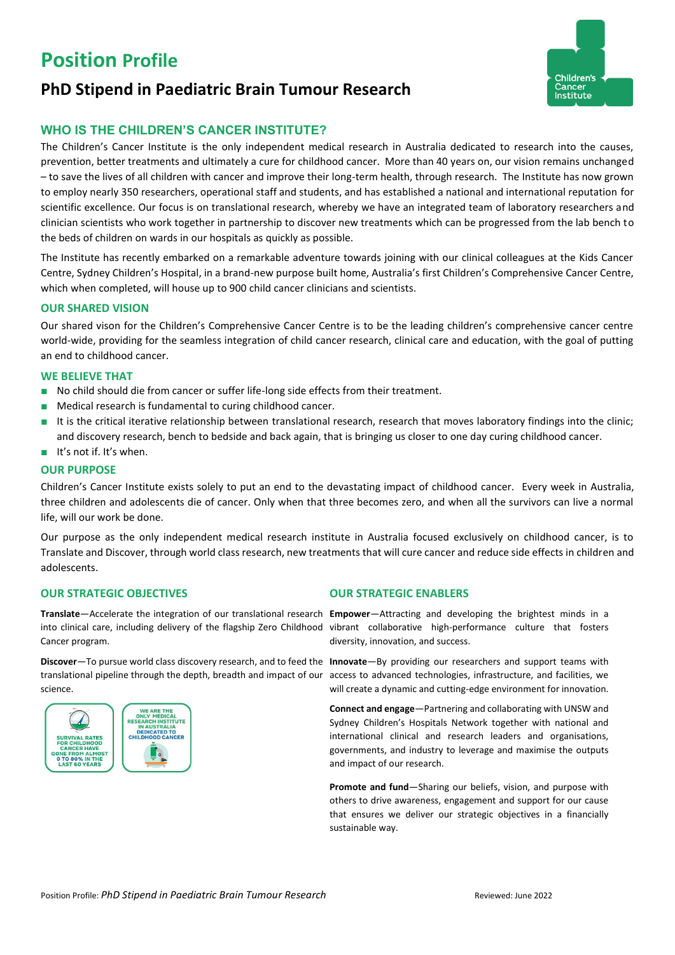# **Position Profile**

## **PhD Stipend in Paediatric Brain Tumour Research**



### **WHO IS THE CHILDREN'S CANCER INSTITUTE?**

The Children's Cancer Institute is the only independent medical research in Australia dedicated to research into the causes, prevention, better treatments and ultimately a cure for childhood cancer. More than 40 years on, our vision remains unchanged – to save the lives of all children with cancer and improve their long-term health, through research. The Institute has now grown to employ nearly 350 researchers, operational staff and students, and has established a national and international reputation for scientific excellence. Our focus is on translational research, whereby we have an integrated team of laboratory researchers and clinician scientists who work together in partnership to discover new treatments which can be progressed from the lab bench to the beds of children on wards in our hospitals as quickly as possible.

The Institute has recently embarked on a remarkable adventure towards joining with our clinical colleagues at the Kids Cancer Centre, Sydney Children's Hospital, in a brand-new purpose built home, Australia's first Children's Comprehensive Cancer Centre, which when completed, will house up to 900 child cancer clinicians and scientists.

#### **OUR SHARED VISION**

Our shared vison for the Children's Comprehensive Cancer Centre is to be the leading children's comprehensive cancer centre world-wide, providing for the seamless integration of child cancer research, clinical care and education, with the goal of putting an end to childhood cancer.

#### **WE BELIEVE THAT**

- No child should die from cancer or suffer life-long side effects from their treatment.
- Medical research is fundamental to curing childhood cancer.
- It is the critical iterative relationship between translational research, research that moves laboratory findings into the clinic; and discovery research, bench to bedside and back again, that is bringing us closer to one day curing childhood cancer.
- It's not if. It's when.

#### **OUR PURPOSE**

Children's Cancer Institute exists solely to put an end to the devastating impact of childhood cancer. Every week in Australia, three children and adolescents die of cancer. Only when that three becomes zero, and when all the survivors can live a normal life, will our work be done.

Our purpose as the only independent medical research institute in Australia focused exclusively on childhood cancer, is to Translate and Discover, through world class research, new treatments that will cure cancer and reduce side effects in children and adolescents.

#### **OUR STRATEGIC OBJECTIVES OUR STRATEGIC ENABLERS**

**Translate**—Accelerate the integration of our translational research **Empower**—Attracting and developing the brightest minds in a into clinical care, including delivery of the flagship Zero Childhood vibrant collaborative high-performance culture that fosters Cancer program.

**Discover**—To pursue world class discovery research, and to feed the **Innovate**—By providing our researchers and support teams with translational pipeline through the depth, breadth and impact of our access to advanced technologies, infrastructure, and facilities, we science.



diversity, innovation, and success.

will create a dynamic and cutting-edge environment for innovation.

**Connect and engage**—Partnering and collaborating with UNSW and Sydney Children's Hospitals Network together with national and international clinical and research leaders and organisations, governments, and industry to leverage and maximise the outputs and impact of our research.

**Promote and fund**—Sharing our beliefs, vision, and purpose with others to drive awareness, engagement and support for our cause that ensures we deliver our strategic objectives in a financially sustainable way.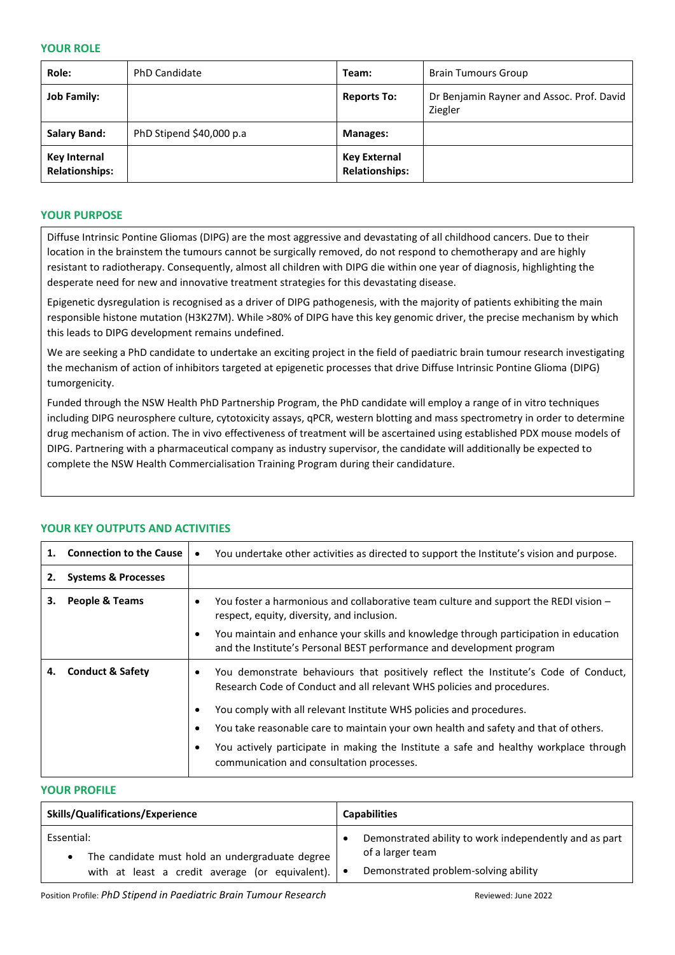#### **YOUR ROLE**

| Role:                                        | <b>PhD Candidate</b>     | Team:                                 | <b>Brain Tumours Group</b>                           |
|----------------------------------------------|--------------------------|---------------------------------------|------------------------------------------------------|
| <b>Job Family:</b>                           |                          | <b>Reports To:</b>                    | Dr Benjamin Rayner and Assoc. Prof. David<br>Ziegler |
| <b>Salary Band:</b>                          | PhD Stipend \$40,000 p.a | <b>Manages:</b>                       |                                                      |
| <b>Key Internal</b><br><b>Relationships:</b> |                          | Key External<br><b>Relationships:</b> |                                                      |

#### **YOUR PURPOSE**

Diffuse Intrinsic Pontine Gliomas (DIPG) are the most aggressive and devastating of all childhood cancers. Due to their location in the brainstem the tumours cannot be surgically removed, do not respond to chemotherapy and are highly resistant to radiotherapy. Consequently, almost all children with DIPG die within one year of diagnosis, highlighting the desperate need for new and innovative treatment strategies for this devastating disease.

Epigenetic dysregulation is recognised as a driver of DIPG pathogenesis, with the majority of patients exhibiting the main responsible histone mutation (H3K27M). While >80% of DIPG have this key genomic driver, the precise mechanism by which this leads to DIPG development remains undefined.

We are seeking a PhD candidate to undertake an exciting project in the field of paediatric brain tumour research investigating the mechanism of action of inhibitors targeted at epigenetic processes that drive Diffuse Intrinsic Pontine Glioma (DIPG) tumorgenicity.

Funded through the NSW Health PhD Partnership Program, the PhD candidate will employ a range of in vitro techniques including DIPG neurosphere culture, cytotoxicity assays, qPCR, western blotting and mass spectrometry in order to determine drug mechanism of action. The in vivo effectiveness of treatment will be ascertained using established PDX mouse models of DIPG. Partnering with a pharmaceutical company as industry supervisor, the candidate will additionally be expected to complete the NSW Health Commercialisation Training Program during their candidature.

| 1. | <b>Connection to the Cause</b> | $\bullet$ | You undertake other activities as directed to support the Institute's vision and purpose.                                                                                                                                   |
|----|--------------------------------|-----------|-----------------------------------------------------------------------------------------------------------------------------------------------------------------------------------------------------------------------------|
| 2. | <b>Systems &amp; Processes</b> |           |                                                                                                                                                                                                                             |
| З. | <b>People &amp; Teams</b>      |           | You foster a harmonious and collaborative team culture and support the REDI vision -<br>respect, equity, diversity, and inclusion.<br>You maintain and enhance your skills and knowledge through participation in education |
|    |                                |           | and the Institute's Personal BEST performance and development program                                                                                                                                                       |
|    | <b>Conduct &amp; Safety</b>    |           | You demonstrate behaviours that positively reflect the Institute's Code of Conduct,<br>Research Code of Conduct and all relevant WHS policies and procedures.                                                               |
|    |                                |           | You comply with all relevant Institute WHS policies and procedures.                                                                                                                                                         |
|    |                                |           | You take reasonable care to maintain your own health and safety and that of others.                                                                                                                                         |
|    |                                |           | You actively participate in making the Institute a safe and healthy workplace through<br>communication and consultation processes.                                                                                          |

#### **YOUR KEY OUTPUTS AND ACTIVITIES**

#### **YOUR PROFILE**

| <b>Skills/Qualifications/Experience</b>                       | <b>Capabilities</b>                                                        |  |
|---------------------------------------------------------------|----------------------------------------------------------------------------|--|
| Essential:<br>The candidate must hold an undergraduate degree | Demonstrated ability to work independently and as part<br>of a larger team |  |
| with at least a credit average (or equivalent). $\bullet$     | Demonstrated problem-solving ability                                       |  |